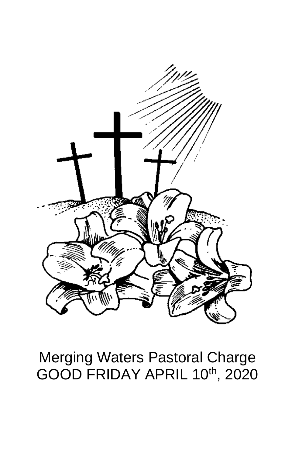

# **Merging Waters Pastoral Charge** GOOD FRIDAY APRIL 10th, 2020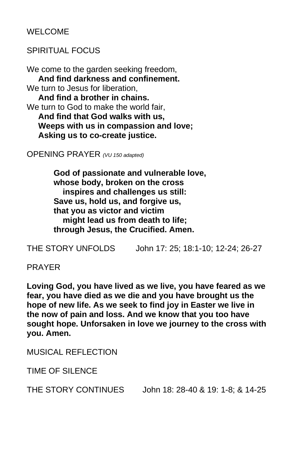WELCOME

## SPIRITUAL FOCUS

We come to the garden seeking freedom,  **And find darkness and confinement.** We turn to Jesus for liberation. **And find a brother in chains.** We turn to God to make the world fair, **And find that God walks with us, Weeps with us in compassion and love; Asking us to co-create justice.** 

OPENING PRAYER *(VU 150 adapted)*

**God of passionate and vulnerable love, whose body, broken on the cross inspires and challenges us still: Save us, hold us, and forgive us, that you as victor and victim might lead us from death to life; through Jesus, the Crucified. Amen.**

THE STORY UNFOLDS John 17: 25; 18:1-10; 12-24; 26-27

#### PRAYER

**Loving God, you have lived as we live, you have feared as we fear, you have died as we die and you have brought us the hope of new life. As we seek to find joy in Easter we live in the now of pain and loss. And we know that you too have sought hope. Unforsaken in love we journey to the cross with you. Amen.**

MUSICAL REFLECTION

TIME OF SILENCE

THE STORY CONTINUES John 18: 28-40 & 19: 1-8; & 14-25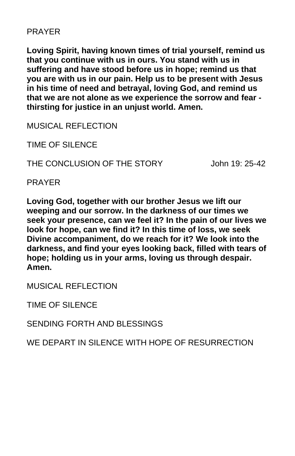### PRAYER

**Loving Spirit, having known times of trial yourself, remind us that you continue with us in ours. You stand with us in suffering and have stood before us in hope; remind us that you are with us in our pain. Help us to be present with Jesus in his time of need and betrayal, loving God, and remind us that we are not alone as we experience the sorrow and fear thirsting for justice in an unjust world. Amen.**

MUSICAL REFLECTION

TIME OF SILENCE

THE CONCLUSION OF THE STORY John 19: 25-42

PRAYER

**Loving God, together with our brother Jesus we lift our weeping and our sorrow. In the darkness of our times we seek your presence, can we feel it? In the pain of our lives we look for hope, can we find it? In this time of loss, we seek Divine accompaniment, do we reach for it? We look into the darkness, and find your eyes looking back, filled with tears of hope; holding us in your arms, loving us through despair. Amen.**

MUSICAL REFLECTION

TIME OF SILENCE

SENDING FORTH AND BLESSINGS

WE DEPART IN SILENCE WITH HOPE OF RESURRECTION